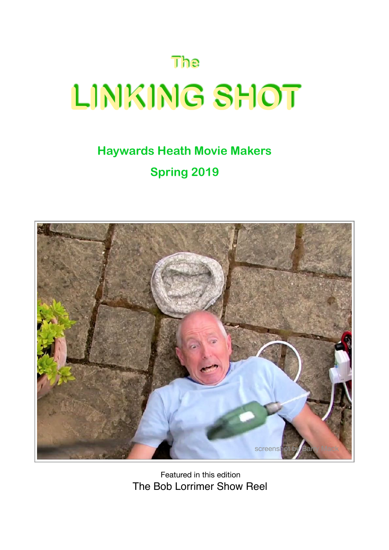# **The LINKING SHOT**

# **Haywards Heath Movie Makers Spring 2019**



Featured in this edition The Bob Lorrimer Show Reel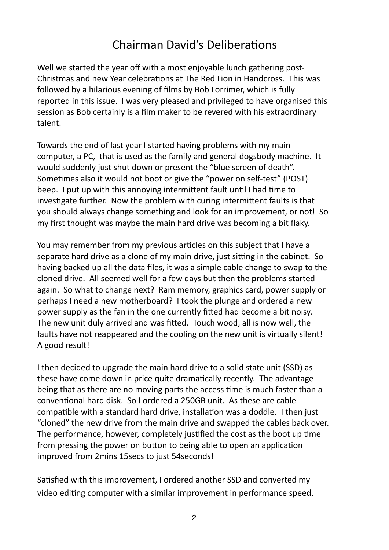### Chairman David's Deliberations

Well we started the year off with a most enjoyable lunch gathering post-Christmas and new Year celebrations at The Red Lion in Handcross. This was followed by a hilarious evening of films by Bob Lorrimer, which is fully reported in this issue. I was very pleased and privileged to have organised this session as Bob certainly is a film maker to be revered with his extraordinary talent. 

Towards the end of last year I started having problems with my main computer, a PC, that is used as the family and general dogsbody machine. It would suddenly just shut down or present the "blue screen of death". Sometimes also it would not boot or give the "power on self-test" (POST) beep. I put up with this annoying intermittent fault until I had time to investigate further. Now the problem with curing intermittent faults is that you should always change something and look for an improvement, or not! So my first thought was maybe the main hard drive was becoming a bit flaky.

You may remember from my previous articles on this subject that I have a separate hard drive as a clone of my main drive, just sitting in the cabinet. So having backed up all the data files, it was a simple cable change to swap to the cloned drive. All seemed well for a few days but then the problems started again. So what to change next? Ram memory, graphics card, power supply or perhaps I need a new motherboard? I took the plunge and ordered a new power supply as the fan in the one currently fitted had become a bit noisy. The new unit duly arrived and was fitted. Touch wood, all is now well, the faults have not reappeared and the cooling on the new unit is virtually silent! A good result!

I then decided to upgrade the main hard drive to a solid state unit (SSD) as these have come down in price quite dramatically recently. The advantage being that as there are no moving parts the access time is much faster than a conventional hard disk. So I ordered a 250GB unit. As these are cable compatible with a standard hard drive, installation was a doddle. I then just " cloned" the new drive from the main drive and swapped the cables back over. The performance, however, completely justified the cost as the boot up time from pressing the power on button to being able to open an application improved from 2mins 15secs to just 54seconds!

Satisfied with this improvement, I ordered another SSD and converted my video editing computer with a similar improvement in performance speed.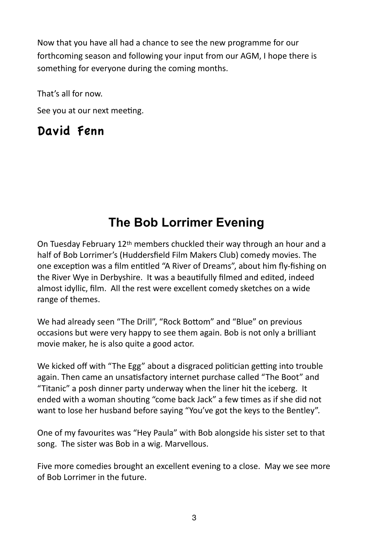Now that you have all had a chance to see the new programme for our forthcoming season and following your input from our AGM, I hope there is something for everyone during the coming months.

That's all for now.

See you at our next meeting.

### David Fenn

# **The Bob Lorrimer Evening**

On Tuesday February  $12<sup>th</sup>$  members chuckled their way through an hour and a half of Bob Lorrimer's (Huddersfield Film Makers Club) comedy movies. The one exception was a film entitled "A River of Dreams", about him fly-fishing on the River Wye in Derbyshire. It was a beautifully filmed and edited, indeed almost idyllic, film. All the rest were excellent comedy sketches on a wide range of themes.

We had already seen "The Drill", "Rock Bottom" and "Blue" on previous occasions but were very happy to see them again. Bob is not only a brilliant movie maker, he is also quite a good actor.

We kicked off with "The Egg" about a disgraced politician getting into trouble again. Then came an unsatisfactory internet purchase called "The Boot" and "Titanic" a posh dinner party underway when the liner hit the iceberg. It ended with a woman shouting "come back Jack" a few times as if she did not want to lose her husband before saying "You've got the keys to the Bentley".

One of my favourites was "Hey Paula" with Bob alongside his sister set to that song. The sister was Bob in a wig. Marvellous.

Five more comedies brought an excellent evening to a close. May we see more of Bob Lorrimer in the future.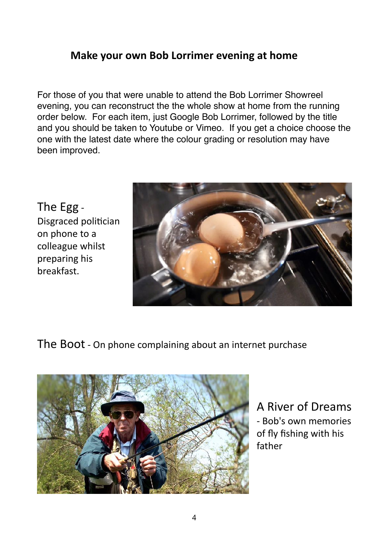### **Make your own Bob Lorrimer evening at home**

For those of you that were unable to attend the Bob Lorrimer Showreel evening, you can reconstruct the the whole show at home from the running order below. For each item, just Google Bob Lorrimer, followed by the title and you should be taken to Youtube or Vimeo. If you get a choice choose the one with the latest date where the colour grading or resolution may have been improved.

The Egg -Disgraced politician on phone to a colleague whilst preparing his breakfast. 



The Boot - On phone complaining about an internet purchase



A River of Dreams - Bob's own memories of fly fishing with his father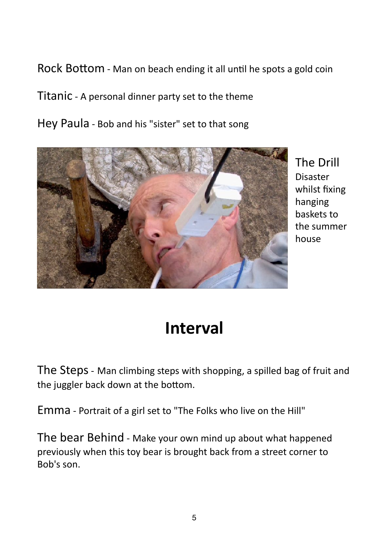Rock Bottom - Man on beach ending it all until he spots a gold coin

Titanic - A personal dinner party set to the theme

Hey Paula - Bob and his "sister" set to that song



**The Drill** Disaster whilst fixing hanging baskets to the summer house

# **Interval**

The Steps - Man climbing steps with shopping, a spilled bag of fruit and the juggler back down at the bottom.

Emma - Portrait of a girl set to "The Folks who live on the Hill"

The bear Behind - Make your own mind up about what happened previously when this toy bear is brought back from a street corner to Bob's son.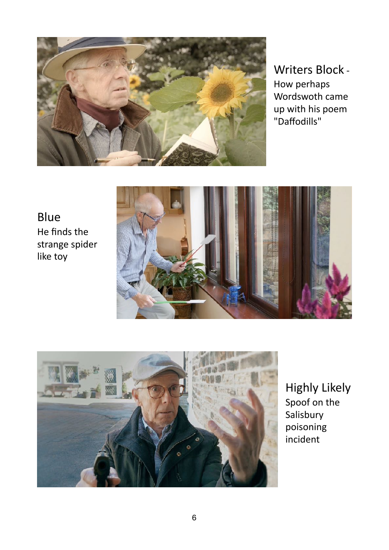

Writers Block -How perhaps Wordswoth came up with his poem "Daffodills"

Blue He finds the strange spider like toy





**Highly Likely** Spoof on the Salisbury poisoning incident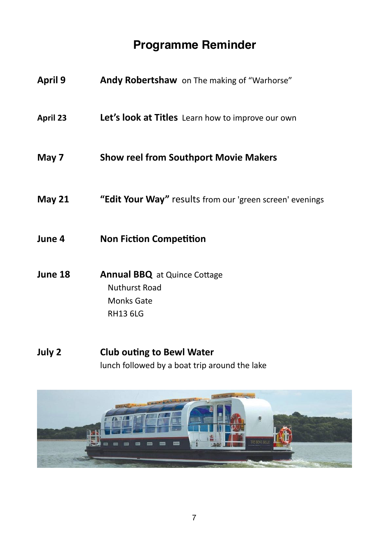## **Programme Reminder**

| <b>April 9</b>  | Andy Robertshaw on The making of "Warhorse"                                                         |
|-----------------|-----------------------------------------------------------------------------------------------------|
| <b>April 23</b> | Let's look at Titles Learn how to improve our own                                                   |
| May 7           | <b>Show reel from Southport Movie Makers</b>                                                        |
| May $21$        | "Edit Your Way" results from our 'green screen' evenings                                            |
| June 4          | <b>Non Fiction Competition</b>                                                                      |
| June 18         | <b>Annual BBQ</b> at Quince Cottage<br><b>Nuthurst Road</b><br><b>Monks Gate</b><br><b>RH13 6LG</b> |

**July 2** Club outing to Bewl Water lunch followed by a boat trip around the lake